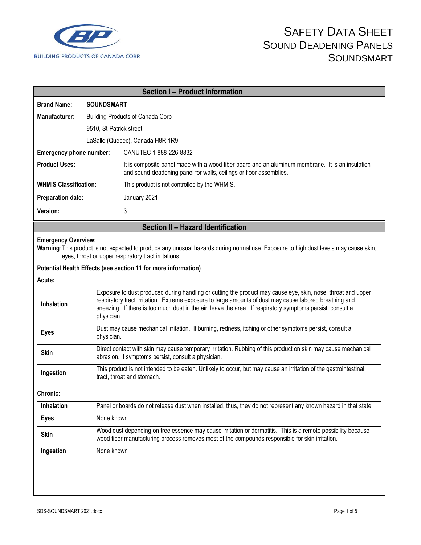

|                                    |                                         | <b>Section I-Product Information</b>                                                                                                                                                                                                                                                                                                                |  |  |
|------------------------------------|-----------------------------------------|-----------------------------------------------------------------------------------------------------------------------------------------------------------------------------------------------------------------------------------------------------------------------------------------------------------------------------------------------------|--|--|
| <b>Brand Name:</b>                 | <b>SOUNDSMART</b>                       |                                                                                                                                                                                                                                                                                                                                                     |  |  |
| Manufacturer:                      | <b>Building Products of Canada Corp</b> |                                                                                                                                                                                                                                                                                                                                                     |  |  |
|                                    | 9510, St-Patrick street                 |                                                                                                                                                                                                                                                                                                                                                     |  |  |
| LaSalle (Quebec), Canada H8R 1R9   |                                         |                                                                                                                                                                                                                                                                                                                                                     |  |  |
| Emergency phone number:            |                                         | CANUTEC 1-888-226-8832                                                                                                                                                                                                                                                                                                                              |  |  |
| <b>Product Uses:</b>               |                                         | It is composite panel made with a wood fiber board and an aluminum membrane. It is an insulation<br>and sound-deadening panel for walls, ceilings or floor assemblies.                                                                                                                                                                              |  |  |
| <b>WHMIS Classification:</b>       |                                         | This product is not controlled by the WHMIS.                                                                                                                                                                                                                                                                                                        |  |  |
| <b>Preparation date:</b>           |                                         | January 2021                                                                                                                                                                                                                                                                                                                                        |  |  |
| Version:                           |                                         | 3                                                                                                                                                                                                                                                                                                                                                   |  |  |
| Section II - Hazard Identification |                                         |                                                                                                                                                                                                                                                                                                                                                     |  |  |
| <b>Emergency Overview:</b>         |                                         | Warning: This product is not expected to produce any unusual hazards during normal use. Exposure to high dust levels may cause skin,<br>eyes, throat or upper respiratory tract irritations.                                                                                                                                                        |  |  |
|                                    |                                         | Potential Health Effects (see section 11 for more information)                                                                                                                                                                                                                                                                                      |  |  |
| Acute:                             |                                         |                                                                                                                                                                                                                                                                                                                                                     |  |  |
| Inhalation                         |                                         | Exposure to dust produced during handling or cutting the product may cause eye, skin, nose, throat and upper<br>respiratory tract irritation. Extreme exposure to large amounts of dust may cause labored breathing and<br>sneezing. If there is too much dust in the air, leave the area. If respiratory symptoms persist, consult a<br>physician. |  |  |
| <b>Eyes</b>                        | physician.                              | Dust may cause mechanical irritation. If burning, redness, itching or other symptoms persist, consult a                                                                                                                                                                                                                                             |  |  |
| <b>Skin</b>                        |                                         | Direct contact with skin may cause temporary irritation. Rubbing of this product on skin may cause mechanical<br>abrasion. If symptoms persist, consult a physician.                                                                                                                                                                                |  |  |
| Ingestion                          |                                         | This product is not intended to be eaten. Unlikely to occur, but may cause an irritation of the gastrointestinal<br>tract, throat and stomach.                                                                                                                                                                                                      |  |  |
| Chronic:                           |                                         |                                                                                                                                                                                                                                                                                                                                                     |  |  |
| Inhalation                         |                                         | Panel or boards do not release dust when installed, thus, they do not represent any known hazard in that state.                                                                                                                                                                                                                                     |  |  |
| <b>Eyes</b>                        |                                         | None known                                                                                                                                                                                                                                                                                                                                          |  |  |
| <b>Skin</b>                        |                                         | Wood dust depending on tree essence may cause irritation or dermatitis. This is a remote possibility because<br>wood fiber manufacturing process removes most of the compounds responsible for skin irritation.                                                                                                                                     |  |  |
| Ingestion                          |                                         | None known                                                                                                                                                                                                                                                                                                                                          |  |  |
|                                    |                                         |                                                                                                                                                                                                                                                                                                                                                     |  |  |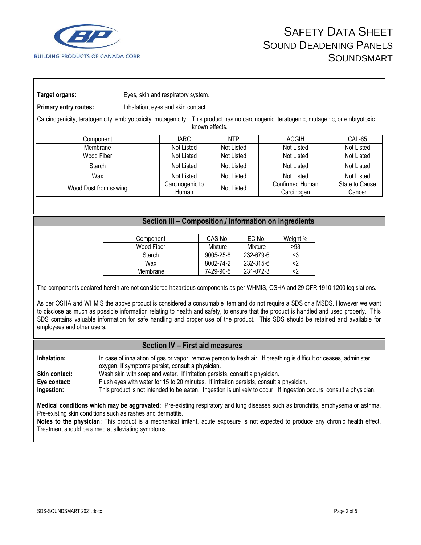

**Target organs:** Eyes, skin and respiratory system.

**Primary entry routes:** Inhalation, eyes and skin contact.

Carcinogenicity, teratogenicity, embryotoxicity, mutagenicity: This product has no carcinogenic, teratogenic, mutagenic, or embryotoxic known effects.

| Component             | <b>IARC</b>              | <b>NTP</b> | <b>ACGIH</b>                  | CAL-65                   |
|-----------------------|--------------------------|------------|-------------------------------|--------------------------|
| Membrane              | Not Listed               | Not Listed | Not Listed                    | Not Listed               |
| Wood Fiber            | Not Listed               | Not Listed | Not Listed                    | Not Listed               |
| Starch                | Not Listed               | Not Listed | Not Listed                    | Not Listed               |
| Wax                   | Not Listed               | Not Listed | Not Listed                    | Not Listed               |
| Wood Dust from sawing | Carcinogenic to<br>Human | Not Listed | Confirmed Human<br>Carcinogen | State to Cause<br>Cancer |

## **Section III – Composition,/ Information on ingredients**

| Component     | CAS No.         | EC No.    | Weight % |
|---------------|-----------------|-----------|----------|
| Wood Fiber    | Mixture         | Mixture   | >93      |
| <b>Starch</b> | $9005 - 25 - 8$ | 232-679-6 | <3       |
| Wax           | 8002-74-2       | 232-315-6 | <2       |
| Membrane      | 7429-90-5       | 231-072-3 |          |

The components declared herein are not considered hazardous components as per WHMIS, OSHA and 29 CFR 1910.1200 legislations.

As per OSHA and WHMIS the above product is considered a consumable item and do not require a SDS or a MSDS. However we want to disclose as much as possible information relating to health and safety, to ensure that the product is handled and used properly. This SDS contains valuable information for safe handling and proper use of the product. This SDS should be retained and available for employees and other users.

## **Section IV – First aid measures**

**Inhalation:** In case of inhalation of gas or vapor, remove person to fresh air. If breathing is difficult or ceases, administer oxygen. If symptoms persist, consult a physician.

**Skin contact:** Wash skin with soap and water. If irritation persists, consult a physician.

**Eye contact:** Flush eyes with water for 15 to 20 minutes. If irritation persists, consult a physician.

**Ingestion:** This product is not intended to be eaten. Ingestion is unlikely to occur. If ingestion occurs, consult a physician.

**Medical conditions which may be aggravated**: Pre-existing respiratory and lung diseases such as bronchitis, emphysema or asthma. Pre-existing skin conditions such as rashes and dermatitis.

**Notes to the physician:** This product is a mechanical irritant, acute exposure is not expected to produce any chronic health effect. Treatment should be aimed at alleviating symptoms.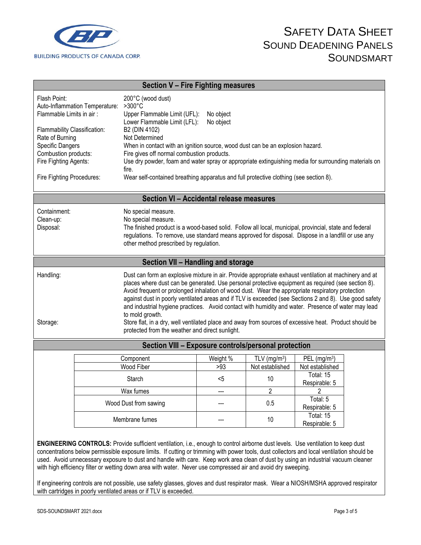

| <b>Section V - Fire Fighting measures</b>                                                                                                                                                                                                                                                                                                                                                                                                                                                                                                                                                                                                                                                                                                  |                                                                                                                                                    |                                                                                                                                                                                                                                                                                                      |                                 |                            |                            |  |
|--------------------------------------------------------------------------------------------------------------------------------------------------------------------------------------------------------------------------------------------------------------------------------------------------------------------------------------------------------------------------------------------------------------------------------------------------------------------------------------------------------------------------------------------------------------------------------------------------------------------------------------------------------------------------------------------------------------------------------------------|----------------------------------------------------------------------------------------------------------------------------------------------------|------------------------------------------------------------------------------------------------------------------------------------------------------------------------------------------------------------------------------------------------------------------------------------------------------|---------------------------------|----------------------------|----------------------------|--|
| Flash Point:<br>Auto-Inflammation Temperature:<br>Flammable Limits in air:                                                                                                                                                                                                                                                                                                                                                                                                                                                                                                                                                                                                                                                                 |                                                                                                                                                    | 200°C (wood dust)<br>>300°C<br>Upper Flammable Limit (UFL):<br>Lower Flammable Limit (LFL):                                                                                                                                                                                                          | No object<br>No object          |                            |                            |  |
| Rate of Burning                                                                                                                                                                                                                                                                                                                                                                                                                                                                                                                                                                                                                                                                                                                            | Flammability Classification:                                                                                                                       |                                                                                                                                                                                                                                                                                                      | B2 (DIN 4102)<br>Not Determined |                            |                            |  |
| Specific Dangers                                                                                                                                                                                                                                                                                                                                                                                                                                                                                                                                                                                                                                                                                                                           |                                                                                                                                                    | When in contact with an ignition source, wood dust can be an explosion hazard.                                                                                                                                                                                                                       |                                 |                            |                            |  |
| Combustion products:<br>Fire Fighting Agents:                                                                                                                                                                                                                                                                                                                                                                                                                                                                                                                                                                                                                                                                                              | Fire gives off normal combustion products.<br>Use dry powder, foam and water spray or appropriate extinguishing media for surrounding materials on |                                                                                                                                                                                                                                                                                                      |                                 |                            |                            |  |
| fire.                                                                                                                                                                                                                                                                                                                                                                                                                                                                                                                                                                                                                                                                                                                                      |                                                                                                                                                    |                                                                                                                                                                                                                                                                                                      |                                 |                            |                            |  |
|                                                                                                                                                                                                                                                                                                                                                                                                                                                                                                                                                                                                                                                                                                                                            | Wear self-contained breathing apparatus and full protective clothing (see section 8).<br>Fire Fighting Procedures:                                 |                                                                                                                                                                                                                                                                                                      |                                 |                            |                            |  |
| Section VI - Accidental release measures                                                                                                                                                                                                                                                                                                                                                                                                                                                                                                                                                                                                                                                                                                   |                                                                                                                                                    |                                                                                                                                                                                                                                                                                                      |                                 |                            |                            |  |
| Containment:<br>Clean-up:<br>Disposal:                                                                                                                                                                                                                                                                                                                                                                                                                                                                                                                                                                                                                                                                                                     |                                                                                                                                                    | No special measure.<br>No special measure.<br>The finished product is a wood-based solid. Follow all local, municipal, provincial, state and federal<br>regulations. To remove, use standard means approved for disposal. Dispose in a landfill or use any<br>other method prescribed by regulation. |                                 |                            |                            |  |
|                                                                                                                                                                                                                                                                                                                                                                                                                                                                                                                                                                                                                                                                                                                                            |                                                                                                                                                    | Section VII - Handling and storage                                                                                                                                                                                                                                                                   |                                 |                            |                            |  |
| Handling:<br>Dust can form an explosive mixture in air. Provide appropriate exhaust ventilation at machinery and at<br>places where dust can be generated. Use personal protective equipment as required (see section 8).<br>Avoid frequent or prolonged inhalation of wood dust. Wear the appropriate respiratory protection<br>against dust in poorly ventilated areas and if TLV is exceeded (see Sections 2 and 8). Use good safety<br>and industrial hygiene practices. Avoid contact with humidity and water. Presence of water may lead<br>to mold growth.<br>Store flat, in a dry, well ventilated place and away from sources of excessive heat. Product should be<br>Storage:<br>protected from the weather and direct sunlight. |                                                                                                                                                    |                                                                                                                                                                                                                                                                                                      |                                 |                            |                            |  |
| Section VIII - Exposure controls/personal protection                                                                                                                                                                                                                                                                                                                                                                                                                                                                                                                                                                                                                                                                                       |                                                                                                                                                    |                                                                                                                                                                                                                                                                                                      |                                 |                            |                            |  |
|                                                                                                                                                                                                                                                                                                                                                                                                                                                                                                                                                                                                                                                                                                                                            |                                                                                                                                                    | Component                                                                                                                                                                                                                                                                                            | Weight %                        | TLV ( $mg/m3$ )            | PEL $(mg/m3)$              |  |
|                                                                                                                                                                                                                                                                                                                                                                                                                                                                                                                                                                                                                                                                                                                                            | Wood Fiber                                                                                                                                         |                                                                                                                                                                                                                                                                                                      | >93                             | Not established            | Not established            |  |
| Starch                                                                                                                                                                                                                                                                                                                                                                                                                                                                                                                                                                                                                                                                                                                                     |                                                                                                                                                    |                                                                                                                                                                                                                                                                                                      | $5$                             | 10                         | Total: 15<br>Respirable: 5 |  |
| Wax fumes                                                                                                                                                                                                                                                                                                                                                                                                                                                                                                                                                                                                                                                                                                                                  |                                                                                                                                                    |                                                                                                                                                                                                                                                                                                      | $\overline{2}$                  | $\overline{\mathbf{c}}$    |                            |  |
| Wood Dust from sawing                                                                                                                                                                                                                                                                                                                                                                                                                                                                                                                                                                                                                                                                                                                      |                                                                                                                                                    |                                                                                                                                                                                                                                                                                                      | 0.5                             | Total: 5<br>Respirable: 5  |                            |  |
| Membrane fumes                                                                                                                                                                                                                                                                                                                                                                                                                                                                                                                                                                                                                                                                                                                             |                                                                                                                                                    |                                                                                                                                                                                                                                                                                                      | 10                              | Total: 15<br>Respirable: 5 |                            |  |
|                                                                                                                                                                                                                                                                                                                                                                                                                                                                                                                                                                                                                                                                                                                                            |                                                                                                                                                    | ENGINEERING CONTROLS: Provide sufficient ventilation, i.e., enough to control airborne dust levels. Use ventilation to keep dust                                                                                                                                                                     |                                 |                            |                            |  |

concentrations below permissible exposure limits. If cutting or trimming with power tools, dust collectors and local ventilation should be used. Avoid unnecessary exposure to dust and handle with care. Keep work area clean of dust by using an industrial vacuum cleaner with high efficiency filter or wetting down area with water. Never use compressed air and avoid dry sweeping.

If engineering controls are not possible, use safety glasses, gloves and dust respirator mask. Wear a NIOSH/MSHA approved respirator with cartridges in poorly ventilated areas or if TLV is exceeded.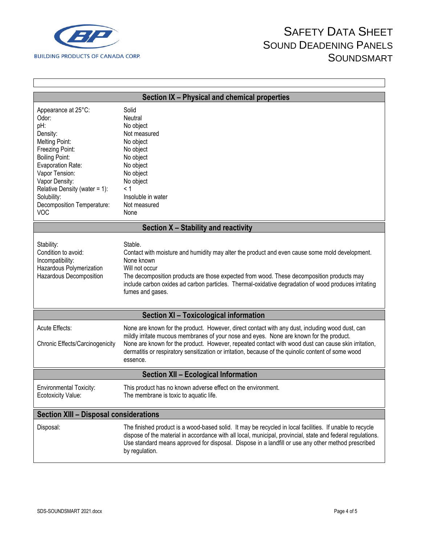

 $\Gamma$ 

## SAFETY DATA SHEET SOUND DEADENING PANELS **SOUNDSMART**

1

| Section IX - Physical and chemical properties                                                                                                                                                                                                                             |                                                                                                                                                                                                                                                                                                                                                                                                                      |  |  |  |
|---------------------------------------------------------------------------------------------------------------------------------------------------------------------------------------------------------------------------------------------------------------------------|----------------------------------------------------------------------------------------------------------------------------------------------------------------------------------------------------------------------------------------------------------------------------------------------------------------------------------------------------------------------------------------------------------------------|--|--|--|
| Appearance at 25°C:<br>Odor:<br>pH:<br>Density:<br><b>Melting Point:</b><br>Freezing Point:<br><b>Boiling Point:</b><br>Evaporation Rate:<br>Vapor Tension:<br>Vapor Density:<br>Relative Density (water = 1):<br>Solubility:<br>Decomposition Temperature:<br><b>VOC</b> | Solid<br>Neutral<br>No object<br>Not measured<br>No object<br>No object<br>No object<br>No object<br>No object<br>No object<br>< 1<br>Insoluble in water<br>Not measured<br>None                                                                                                                                                                                                                                     |  |  |  |
|                                                                                                                                                                                                                                                                           | Section X - Stability and reactivity                                                                                                                                                                                                                                                                                                                                                                                 |  |  |  |
| Stability:<br>Condition to avoid:<br>Incompatibility:<br>Hazardous Polymerization<br>Hazardous Decomposition                                                                                                                                                              | Stable.<br>Contact with moisture and humidity may alter the product and even cause some mold development.<br>None known<br>Will not occur<br>The decomposition products are those expected from wood. These decomposition products may<br>include carbon oxides ad carbon particles. Thermal-oxidative degradation of wood produces irritating<br>fumes and gases.                                                   |  |  |  |
|                                                                                                                                                                                                                                                                           | <b>Section XI - Toxicological information</b>                                                                                                                                                                                                                                                                                                                                                                        |  |  |  |
| Acute Effects:<br>Chronic Effects/Carcinogenicity                                                                                                                                                                                                                         | None are known for the product. However, direct contact with any dust, including wood dust, can<br>mildly irritate mucous membranes of your nose and eyes. None are known for the product.<br>None are known for the product. However, repeated contact with wood dust can cause skin irritation,<br>dermatitis or respiratory sensitization or irritation, because of the quinolic content of some wood<br>essence. |  |  |  |
| <b>Section XII - Ecological Information</b>                                                                                                                                                                                                                               |                                                                                                                                                                                                                                                                                                                                                                                                                      |  |  |  |
| <b>Environmental Toxicity:</b><br>Ecotoxicity Value:                                                                                                                                                                                                                      | This product has no known adverse effect on the environment.<br>The membrane is toxic to aquatic life.                                                                                                                                                                                                                                                                                                               |  |  |  |
| <b>Section XIII - Disposal considerations</b>                                                                                                                                                                                                                             |                                                                                                                                                                                                                                                                                                                                                                                                                      |  |  |  |
| Disposal:                                                                                                                                                                                                                                                                 | The finished product is a wood-based solid. It may be recycled in local facilities. If unable to recycle<br>dispose of the material in accordance with all local, municipal, provincial, state and federal regulations.<br>Use standard means approved for disposal. Dispose in a landfill or use any other method prescribed<br>by regulation.                                                                      |  |  |  |